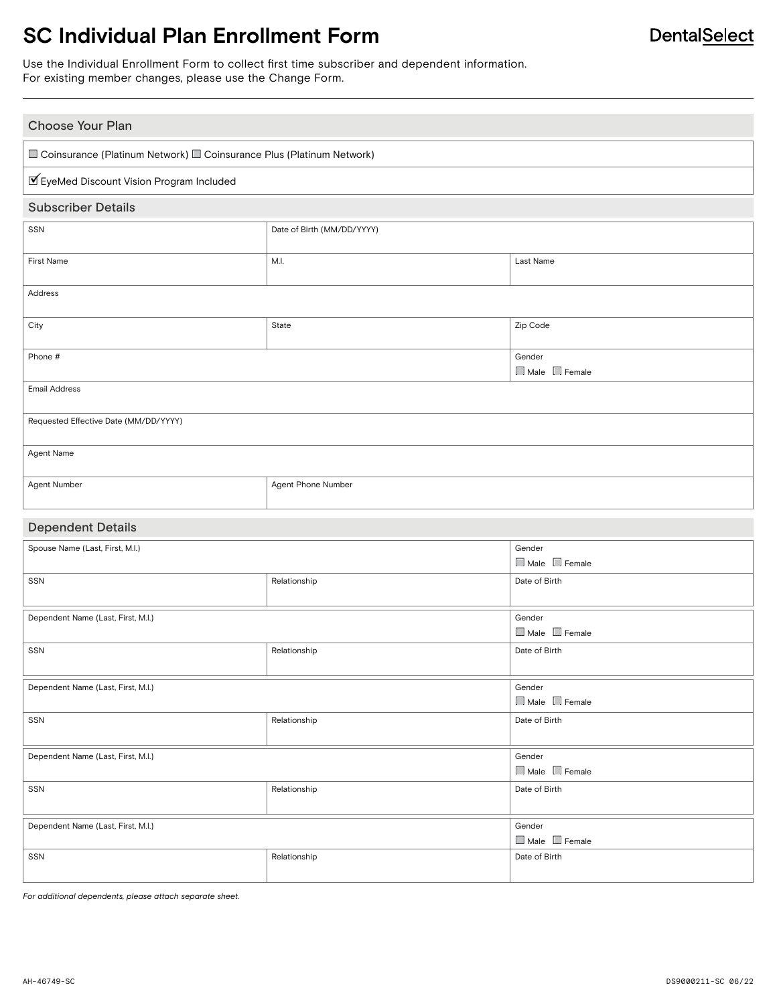# **SC Individual Plan Enrollment Form**

Use the Individual Enrollment Form to collect first time subscriber and dependent information. For existing member changes, please use the Change Form.

| <b>Choose Your Plan</b>                                                |                            |                                     |  |  |
|------------------------------------------------------------------------|----------------------------|-------------------------------------|--|--|
| □ Coinsurance (Platinum Network) □ Coinsurance Plus (Platinum Network) |                            |                                     |  |  |
| ■ EyeMed Discount Vision Program Included                              |                            |                                     |  |  |
| <b>Subscriber Details</b>                                              |                            |                                     |  |  |
| SSN                                                                    | Date of Birth (MM/DD/YYYY) |                                     |  |  |
| <b>First Name</b>                                                      | M.I.                       | Last Name                           |  |  |
| Address                                                                |                            |                                     |  |  |
| City                                                                   | State                      | Zip Code                            |  |  |
| Phone #                                                                |                            | Gender<br>Male Female               |  |  |
| <b>Email Address</b>                                                   |                            |                                     |  |  |
| Requested Effective Date (MM/DD/YYYY)                                  |                            |                                     |  |  |
| Agent Name                                                             |                            |                                     |  |  |
| Agent Number                                                           | Agent Phone Number         |                                     |  |  |
|                                                                        |                            |                                     |  |  |
| <b>Dependent Details</b>                                               |                            |                                     |  |  |
| Spouse Name (Last, First, M.I.)                                        |                            | Gender<br>$\Box$ Male $\Box$ Female |  |  |
| SSN                                                                    | Relationship               | Date of Birth                       |  |  |
| Dependent Name (Last, First, M.I.)                                     |                            | Gender<br>Male Female               |  |  |
| SSN                                                                    | Relationship               | Date of Birth                       |  |  |
| Dependent Name (Last, First, M.I.)                                     |                            | Gender<br>Male Female               |  |  |
| SSN                                                                    | Relationship               | Date of Birth                       |  |  |
| Dependent Name (Last, First, M.I.)                                     |                            | Gender<br>$\Box$ Male $\Box$ Female |  |  |
| SSN                                                                    | Relationship               | Date of Birth                       |  |  |
| Dependent Name (Last, First, M.I.)                                     |                            | Gender<br>$\Box$ Male $\Box$ Female |  |  |

*For additional dependents, please attach separate sheet.*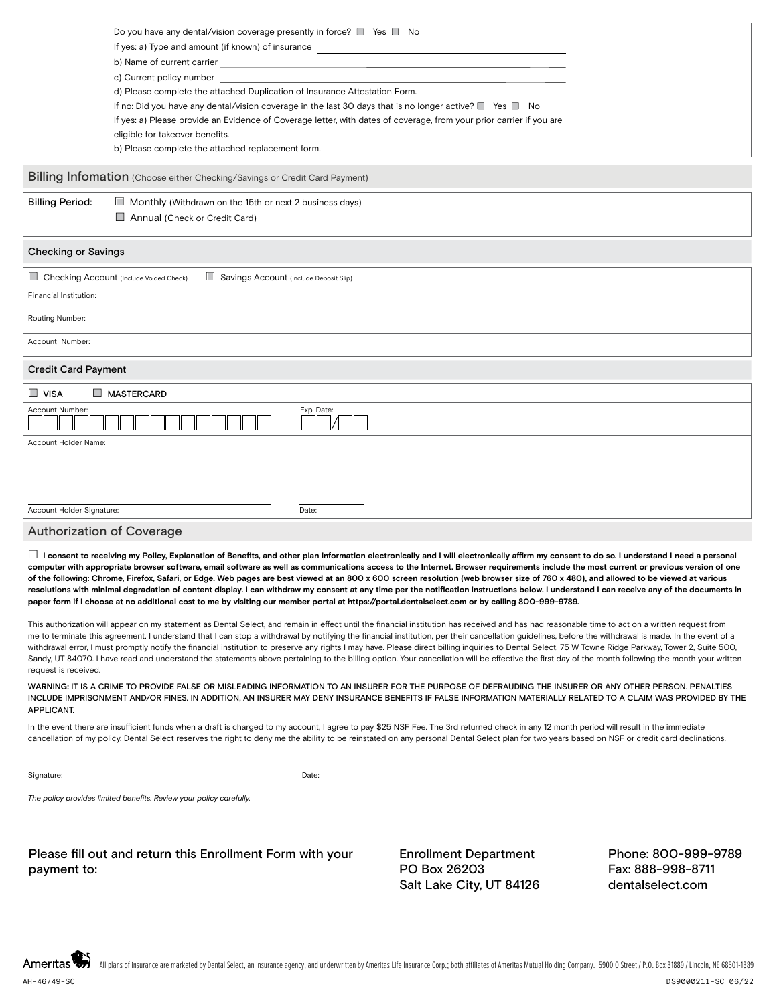|                        | Do you have any dental/vision coverage presently in force? I Yes No                                                  |  |
|------------------------|----------------------------------------------------------------------------------------------------------------------|--|
|                        | If yes: a) Type and amount (if known) of insurance                                                                   |  |
|                        | b) Name of current carrier contract to the state of the state of current carrier                                     |  |
|                        | c) Current policy number                                                                                             |  |
|                        | d) Please complete the attached Duplication of Insurance Attestation Form.                                           |  |
|                        | If no: Did you have any dental/vision coverage in the last 30 days that is no longer active? $\Box$ Yes $\Box$ No    |  |
|                        | If yes: a) Please provide an Evidence of Coverage letter, with dates of coverage, from your prior carrier if you are |  |
|                        | eligible for takeover benefits.                                                                                      |  |
|                        | b) Please complete the attached replacement form.                                                                    |  |
|                        |                                                                                                                      |  |
|                        | Billing Infomation (Choose either Checking/Savings or Credit Card Payment)                                           |  |
| <b>Billing Period:</b> | $\Box$ Monthly (Withdrawn on the 15th or next 2 business days)                                                       |  |

### Checking or Savings

Annual (Check or Credit Card)

| Checking Account (Include Voided Check)<br>$\Box$<br>Savings Account (Include Deposit Slip) |            |
|---------------------------------------------------------------------------------------------|------------|
| Financial Institution:                                                                      |            |
| Routing Number:                                                                             |            |
| Account Number:                                                                             |            |
| <b>Credit Card Payment</b>                                                                  |            |
| $\Box$ VISA<br>$\Box$<br><b>MASTERCARD</b>                                                  |            |
| Account Number:                                                                             | Exp. Date: |
| Account Holder Name:                                                                        |            |
|                                                                                             |            |
|                                                                                             |            |
| Account Holder Signature:                                                                   | Date:      |
|                                                                                             |            |

#### Authorization of Coverage

 **I consent to receiving my Policy, Explanation of Benefits, and other plan information electronically and I will electronically affirm my consent to do so. I understand I need a personal computer with appropriate browser software, email software as well as communications access to the Internet. Browser requirements include the most current or previous version of one of the following: Chrome, Firefox, Safari, or Edge. Web pages are best viewed at an 800 x 600 screen resolution (web browser size of 760 x 480), and allowed to be viewed at various**  resolutions with minimal degradation of content display. I can withdraw my consent at any time per the notification instructions below. I understand I can receive any of the documents in **paper form if I choose at no additional cost to me by visiting our member portal at https://portal.dentalselect.com or by calling 800-999-9789.**

This authorization will appear on my statement as Dental Select, and remain in effect until the financial institution has received and has had reasonable time to act on a written request from me to terminate this agreement. I understand that I can stop a withdrawal by notifying the financial institution, per their cancellation guidelines, before the withdrawal is made. In the event of a withdrawal error, I must promptly notify the financial institution to preserve any rights I may have. Please direct billing inquiries to Dental Select, 75 W Towne Ridge Parkway, Tower 2, Suite 500, Sandy, UT 84070. I have read and understand the statements above pertaining to the billing option. Your cancellation will be effective the first day of the month following the month your written request is received.

W**ARNING:** IT IS A CRIME TO PROVIDE FALSE OR MISLEADING INFORMATION TO AN INSURER FOR THE PURPOSE OF DEFRAUDING THE INSURER OR ANY OTHER PERSON. PENALTIES INCLUDE IMPRISONMENT AND/OR FINES. IN ADDITION, AN INSURER MAY DENY INSURANCE BENEFITS IF FALSE INFORMATION MATERIALLY RELATED TO A CLAIM WAS PROVIDED BY THE APPLICANT.

In the event there are insufficient funds when a draft is charged to my account, I agree to pay \$25 NSF Fee. The 3rd returned check in any 12 month period will result in the immediate cancellation of my policy. Dental Select reserves the right to deny me the ability to be reinstated on any personal Dental Select plan for two years based on NSF or credit card declinations.

Signature: Date: Date: Date: Date: Date: Date: Date: Date: Date: Date: Date: Date: Date: Date: Date: Date: Date: Date: Date: Date: Date: Date: Date: Date: Date: Date: Date: Date: Date: Date: Date: Date: Date: Date: Date: D

*The policy provides limited benefits. Review your policy carefully.*

Please fill out and return this Enrollment Form with your payment to:

Enrollment Department PO Box 26203 Salt Lake City, UT 84126

Phone: 800-999-9789 Fax: 888-998-8711 dentalselect.com

Ameritas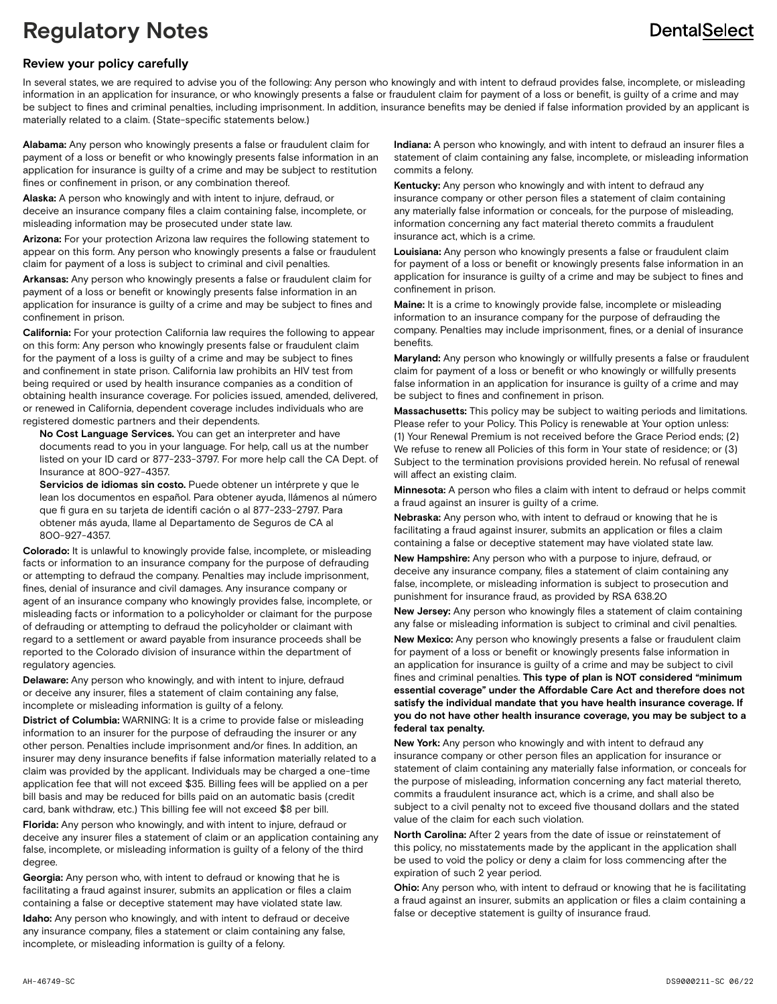# **Regulatory Notes**

## **DentalSelect**

#### **Review your policy carefully**

In several states, we are required to advise you of the following: Any person who knowingly and with intent to defraud provides false, incomplete, or misleading information in an application for insurance, or who knowingly presents a false or fraudulent claim for payment of a loss or benefit, is guilty of a crime and may be subject to fines and criminal penalties, including imprisonment. In addition, insurance benefits may be denied if false information provided by an applicant is materially related to a claim. (State-specific statements below.)

**Alabama:** Any person who knowingly presents a false or fraudulent claim for payment of a loss or benefit or who knowingly presents false information in an application for insurance is guilty of a crime and may be subject to restitution fines or confinement in prison, or any combination thereof.

**Alaska:** A person who knowingly and with intent to injure, defraud, or deceive an insurance company files a claim containing false, incomplete, or misleading information may be prosecuted under state law.

**Arizona:** For your protection Arizona law requires the following statement to appear on this form. Any person who knowingly presents a false or fraudulent claim for payment of a loss is subject to criminal and civil penalties.

**Arkansas:** Any person who knowingly presents a false or fraudulent claim for payment of a loss or benefit or knowingly presents false information in an application for insurance is guilty of a crime and may be subject to fines and confinement in prison.

**California:** For your protection California law requires the following to appear on this form: Any person who knowingly presents false or fraudulent claim for the payment of a loss is guilty of a crime and may be subject to fines and confinement in state prison. California law prohibits an HIV test from being required or used by health insurance companies as a condition of obtaining health insurance coverage. For policies issued, amended, delivered, or renewed in California, dependent coverage includes individuals who are registered domestic partners and their dependents.

 **No Cost Language Services.** You can get an interpreter and have documents read to you in your language. For help, call us at the number listed on your ID card or 877-233-3797. For more help call the CA Dept. of Insurance at 800-927-4357.

 **Servicios de idiomas sin costo.** Puede obtener un intérprete y que le lean los documentos en español. Para obtener ayuda, llámenos al número que fi gura en su tarjeta de identifi cación o al 877-233-2797. Para obtener más ayuda, llame al Departamento de Seguros de CA al 800-927-4357.

**Colorado:** It is unlawful to knowingly provide false, incomplete, or misleading facts or information to an insurance company for the purpose of defrauding or attempting to defraud the company. Penalties may include imprisonment, fines, denial of insurance and civil damages. Any insurance company or agent of an insurance company who knowingly provides false, incomplete, or misleading facts or information to a policyholder or claimant for the purpose of defrauding or attempting to defraud the policyholder or claimant with regard to a settlement or award payable from insurance proceeds shall be reported to the Colorado division of insurance within the department of regulatory agencies.

**Delaware:** Any person who knowingly, and with intent to injure, defraud or deceive any insurer, files a statement of claim containing any false, incomplete or misleading information is guilty of a felony.

**District of Columbia:** WARNING: It is a crime to provide false or misleading information to an insurer for the purpose of defrauding the insurer or any other person. Penalties include imprisonment and/or fines. In addition, an insurer may deny insurance benefits if false information materially related to a claim was provided by the applicant. Individuals may be charged a one-time application fee that will not exceed \$35. Billing fees will be applied on a per bill basis and may be reduced for bills paid on an automatic basis (credit card, bank withdraw, etc.) This billing fee will not exceed \$8 per bill.

**Florida:** Any person who knowingly, and with intent to injure, defraud or deceive any insurer files a statement of claim or an application containing any false, incomplete, or misleading information is guilty of a felony of the third degree.

**Georgia:** Any person who, with intent to defraud or knowing that he is facilitating a fraud against insurer, submits an application or files a claim containing a false or deceptive statement may have violated state law.

**Idaho:** Any person who knowingly, and with intent to defraud or deceive any insurance company, files a statement or claim containing any false, incomplete, or misleading information is guilty of a felony.

**Indiana:** A person who knowingly, and with intent to defraud an insurer files a statement of claim containing any false, incomplete, or misleading information commits a felony.

**Kentucky:** Any person who knowingly and with intent to defraud any insurance company or other person files a statement of claim containing any materially false information or conceals, for the purpose of misleading, information concerning any fact material thereto commits a fraudulent insurance act, which is a crime.

**Louisiana:** Any person who knowingly presents a false or fraudulent claim for payment of a loss or benefit or knowingly presents false information in an application for insurance is guilty of a crime and may be subject to fines and confinement in prison.

**Maine:** It is a crime to knowingly provide false, incomplete or misleading information to an insurance company for the purpose of defrauding the company. Penalties may include imprisonment, fines, or a denial of insurance benefits.

**Maryland:** Any person who knowingly or willfully presents a false or fraudulent claim for payment of a loss or benefit or who knowingly or willfully presents false information in an application for insurance is guilty of a crime and may be subject to fines and confinement in prison.

**Massachusetts:** This policy may be subject to waiting periods and limitations. Please refer to your Policy. This Policy is renewable at Your option unless: (1) Your Renewal Premium is not received before the Grace Period ends; (2) We refuse to renew all Policies of this form in Your state of residence; or (3) Subject to the termination provisions provided herein. No refusal of renewal will affect an existing claim.

**Minnesota:** A person who files a claim with intent to defraud or helps commit a fraud against an insurer is guilty of a crime.

**Nebraska:** Any person who, with intent to defraud or knowing that he is facilitating a fraud against insurer, submits an application or files a claim containing a false or deceptive statement may have violated state law.

**New Hampshire:** Any person who with a purpose to injure, defraud, or deceive any insurance company, files a statement of claim containing any false, incomplete, or misleading information is subject to prosecution and punishment for insurance fraud, as provided by RSA 638.20

**New Jersey:** Any person who knowingly files a statement of claim containing any false or misleading information is subject to criminal and civil penalties.

**New Mexico:** Any person who knowingly presents a false or fraudulent claim for payment of a loss or benefit or knowingly presents false information in an application for insurance is guilty of a crime and may be subject to civil fines and criminal penalties. **This type of plan is NOT considered "minimum essential coverage" under the Affordable Care Act and therefore does not satisfy the individual mandate that you have health insurance coverage. If you do not have other health insurance coverage, you may be subject to a federal tax penalty.**

**New York:** Any person who knowingly and with intent to defraud any insurance company or other person files an application for insurance or statement of claim containing any materially false information, or conceals for the purpose of misleading, information concerning any fact material thereto, commits a fraudulent insurance act, which is a crime, and shall also be subject to a civil penalty not to exceed five thousand dollars and the stated value of the claim for each such violation.

**North Carolina:** After 2 years from the date of issue or reinstatement of this policy, no misstatements made by the applicant in the application shall be used to void the policy or deny a claim for loss commencing after the expiration of such 2 year period.

**Ohio:** Any person who, with intent to defraud or knowing that he is facilitating a fraud against an insurer, submits an application or files a claim containing a false or deceptive statement is guilty of insurance fraud.